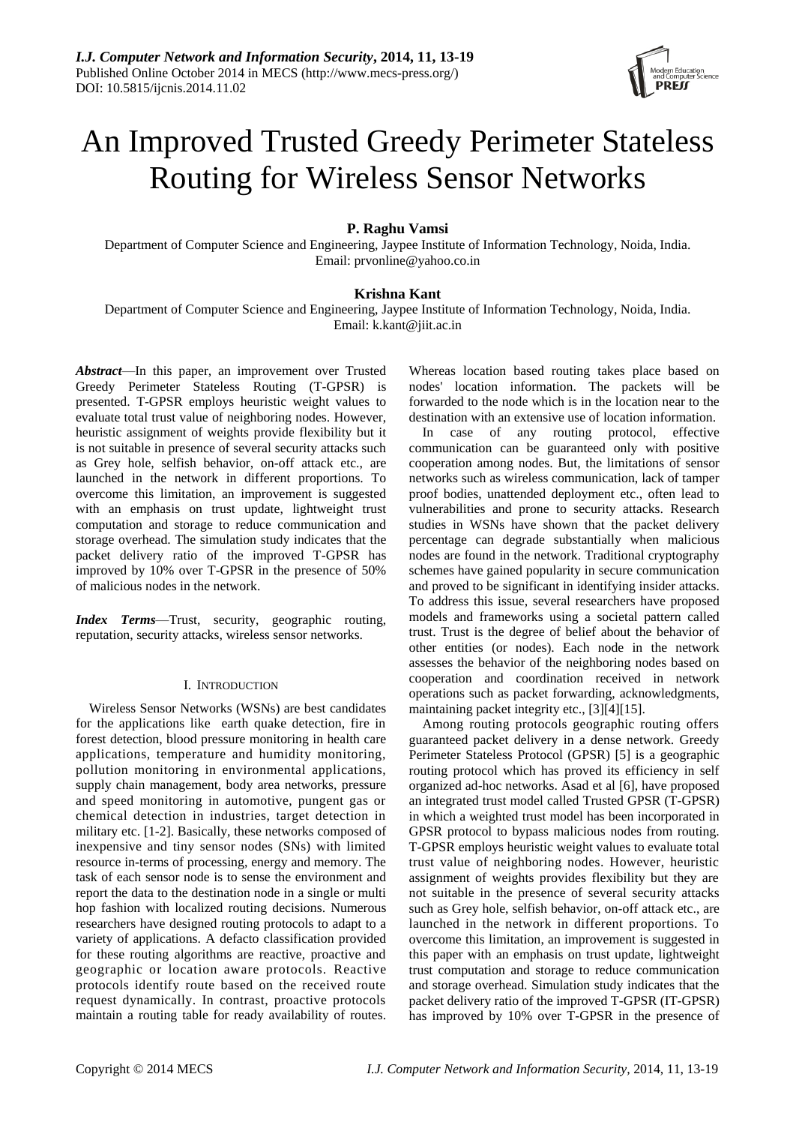

# An Improved Trusted Greedy Perimeter Stateless Routing for Wireless Sensor Networks

# **P. Raghu Vamsi**

Department of Computer Science and Engineering, Jaypee Institute of Information Technology, Noida, India. Email: prvonline@yahoo.co.in

## **Krishna Kant**

Department of Computer Science and Engineering, Jaypee Institute of Information Technology, Noida, India. Email: k.kant@jiit.ac.in

*Abstract*—In this paper, an improvement over Trusted Greedy Perimeter Stateless Routing (T-GPSR) is presented. T-GPSR employs heuristic weight values to evaluate total trust value of neighboring nodes. However, heuristic assignment of weights provide flexibility but it is not suitable in presence of several security attacks such as Grey hole, selfish behavior, on-off attack etc., are launched in the network in different proportions. To overcome this limitation, an improvement is suggested with an emphasis on trust update, lightweight trust computation and storage to reduce communication and storage overhead. The simulation study indicates that the packet delivery ratio of the improved T-GPSR has improved by 10% over T-GPSR in the presence of 50% of malicious nodes in the network.

*Index Terms*—Trust, security, geographic routing, reputation, security attacks, wireless sensor networks.

## I. INTRODUCTION

Wireless Sensor Networks (WSNs) are best candidates for the applications like earth quake detection, fire in forest detection, blood pressure monitoring in health care applications, temperature and humidity monitoring, pollution monitoring in environmental applications, supply chain management, body area networks, pressure and speed monitoring in automotive, pungent gas or chemical detection in industries, target detection in military etc. [1-2]. Basically, these networks composed of inexpensive and tiny sensor nodes (SNs) with limited resource in-terms of processing, energy and memory. The task of each sensor node is to sense the environment and report the data to the destination node in a single or multi hop fashion with localized routing decisions. Numerous researchers have designed routing protocols to adapt to a variety of applications. A defacto classification provided for these routing algorithms are reactive, proactive and geographic or location aware protocols. Reactive protocols identify route based on the received route request dynamically. In contrast, proactive protocols maintain a routing table for ready availability of routes.

Whereas location based routing takes place based on nodes' location information. The packets will be forwarded to the node which is in the location near to the destination with an extensive use of location information.

In case of any routing protocol, effective communication can be guaranteed only with positive cooperation among nodes. But, the limitations of sensor networks such as wireless communication, lack of tamper proof bodies, unattended deployment etc., often lead to vulnerabilities and prone to security attacks. Research studies in WSNs have shown that the packet delivery percentage can degrade substantially when malicious nodes are found in the network. Traditional cryptography schemes have gained popularity in secure communication and proved to be significant in identifying insider attacks. To address this issue, several researchers have proposed models and frameworks using a societal pattern called trust. Trust is the degree of belief about the behavior of other entities (or nodes). Each node in the network assesses the behavior of the neighboring nodes based on cooperation and coordination received in network operations such as packet forwarding, acknowledgments, maintaining packet integrity etc., [3][4][15].

Among routing protocols geographic routing offers guaranteed packet delivery in a dense network. Greedy Perimeter Stateless Protocol (GPSR) [5] is a geographic routing protocol which has proved its efficiency in self organized ad-hoc networks. Asad et al [6], have proposed an integrated trust model called Trusted GPSR (T-GPSR) in which a weighted trust model has been incorporated in GPSR protocol to bypass malicious nodes from routing. T-GPSR employs heuristic weight values to evaluate total trust value of neighboring nodes. However, heuristic assignment of weights provides flexibility but they are not suitable in the presence of several security attacks such as Grey hole, selfish behavior, on-off attack etc., are launched in the network in different proportions. To overcome this limitation, an improvement is suggested in this paper with an emphasis on trust update, lightweight trust computation and storage to reduce communication and storage overhead. Simulation study indicates that the packet delivery ratio of the improved T-GPSR (IT-GPSR) has improved by 10% over T-GPSR in the presence of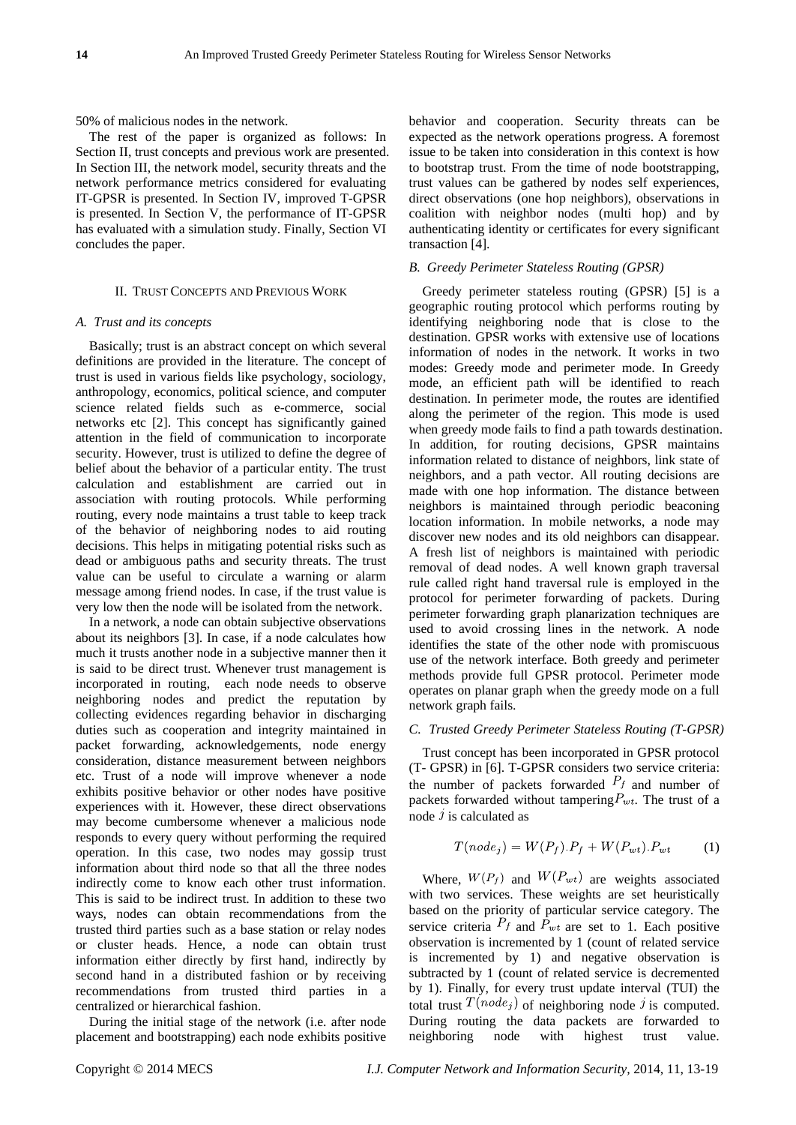50% of malicious nodes in the network.

The rest of the paper is organized as follows: In Section II, trust concepts and previous work are presented. In Section III, the network model, security threats and the network performance metrics considered for evaluating IT-GPSR is presented. In Section IV, improved T-GPSR is presented. In Section V, the performance of IT-GPSR has evaluated with a simulation study. Finally, Section VI concludes the paper.

#### II. TRUST CONCEPTS AND PREVIOUS WORK

## *A. Trust and its concepts*

Basically; trust is an abstract concept on which several definitions are provided in the literature. The concept of trust is used in various fields like psychology, sociology, anthropology, economics, political science, and computer science related fields such as e-commerce, social networks etc [2]. This concept has significantly gained attention in the field of communication to incorporate security. However, trust is utilized to define the degree of belief about the behavior of a particular entity. The trust calculation and establishment are carried out in association with routing protocols. While performing routing, every node maintains a trust table to keep track of the behavior of neighboring nodes to aid routing decisions. This helps in mitigating potential risks such as dead or ambiguous paths and security threats. The trust value can be useful to circulate a warning or alarm message among friend nodes. In case, if the trust value is very low then the node will be isolated from the network.

In a network, a node can obtain subjective observations about its neighbors [3]. In case, if a node calculates how much it trusts another node in a subjective manner then it is said to be direct trust. Whenever trust management is incorporated in routing, each node needs to observe neighboring nodes and predict the reputation by collecting evidences regarding behavior in discharging duties such as cooperation and integrity maintained in packet forwarding, acknowledgements, node energy consideration, distance measurement between neighbors etc. Trust of a node will improve whenever a node exhibits positive behavior or other nodes have positive experiences with it. However, these direct observations may become cumbersome whenever a malicious node responds to every query without performing the required operation. In this case, two nodes may gossip trust information about third node so that all the three nodes indirectly come to know each other trust information. This is said to be indirect trust. In addition to these two ways, nodes can obtain recommendations from the trusted third parties such as a base station or relay nodes or cluster heads. Hence, a node can obtain trust information either directly by first hand, indirectly by second hand in a distributed fashion or by receiving recommendations from trusted third parties in a centralized or hierarchical fashion.

During the initial stage of the network (i.e. after node placement and bootstrapping) each node exhibits positive behavior and cooperation. Security threats can be expected as the network operations progress. A foremost issue to be taken into consideration in this context is how to bootstrap trust. From the time of node bootstrapping, trust values can be gathered by nodes self experiences, direct observations (one hop neighbors), observations in coalition with neighbor nodes (multi hop) and by authenticating identity or certificates for every significant transaction [4].

#### *B. Greedy Perimeter Stateless Routing (GPSR)*

Greedy perimeter stateless routing (GPSR) [5] is a geographic routing protocol which performs routing by identifying neighboring node that is close to the destination. GPSR works with extensive use of locations information of nodes in the network. It works in two modes: Greedy mode and perimeter mode. In Greedy mode, an efficient path will be identified to reach destination. In perimeter mode, the routes are identified along the perimeter of the region. This mode is used when greedy mode fails to find a path towards destination. In addition, for routing decisions, GPSR maintains information related to distance of neighbors, link state of neighbors, and a path vector. All routing decisions are made with one hop information. The distance between neighbors is maintained through periodic beaconing location information. In mobile networks, a node may discover new nodes and its old neighbors can disappear. A fresh list of neighbors is maintained with periodic removal of dead nodes. A well known graph traversal rule called right hand traversal rule is employed in the protocol for perimeter forwarding of packets. During perimeter forwarding graph planarization techniques are used to avoid crossing lines in the network. A node identifies the state of the other node with promiscuous use of the network interface. Both greedy and perimeter methods provide full GPSR protocol. Perimeter mode operates on planar graph when the greedy mode on a full network graph fails.

#### *C. Trusted Greedy Perimeter Stateless Routing (T-GPSR)*

Trust concept has been incorporated in GPSR protocol (T- GPSR) in [6]. T-GPSR considers two service criteria: the number of packets forwarded  $P_f$  and number of packets forwarded without tampering  $P_{wt}$ . The trust of a node  $\dot{j}$  is calculated as

$$
T(node_j) = W(P_f).P_f + W(P_{wt}).P_{wt}
$$
 (1)

Where,  $W(P_f)$  and  $W(P_{wt})$  are weights associated with two services. These weights are set heuristically based on the priority of particular service category. The service criteria  $P_f$  and  $P_{wt}$  are set to 1. Each positive observation is incremented by 1 (count of related service is incremented by 1) and negative observation is subtracted by 1 (count of related service is decremented by 1). Finally, for every trust update interval (TUI) the total trust  $T(node_j)$  of neighboring node j is computed. During routing the data packets are forwarded to neighboring node with highest trust value.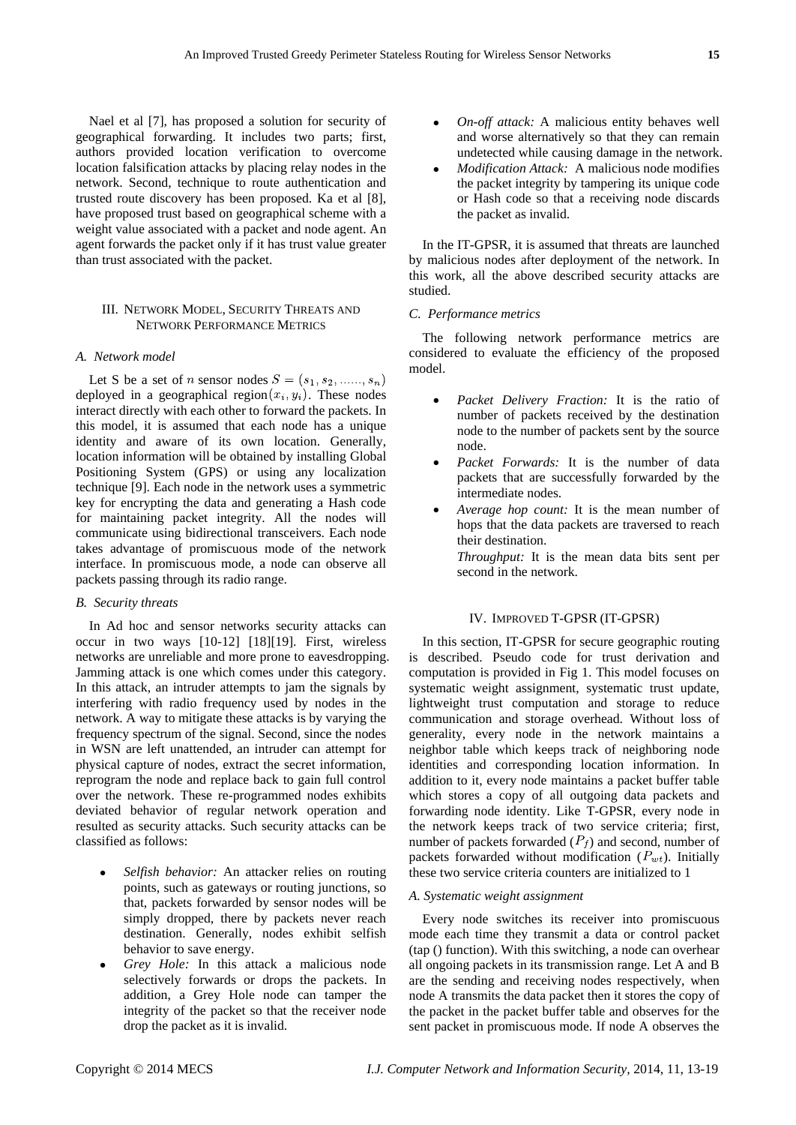Nael et al [7], has proposed a solution for security of geographical forwarding. It includes two parts; first, authors provided location verification to overcome location falsification attacks by placing relay nodes in the network. Second, technique to route authentication and trusted route discovery has been proposed. Ka et al [8], have proposed trust based on geographical scheme with a weight value associated with a packet and node agent. An agent forwards the packet only if it has trust value greater than trust associated with the packet.

## III. NETWORK MODEL, SECURITY THREATS AND NETWORK PERFORMANCE METRICS

#### *A. Network model*

Let S be a set of *n* sensor nodes  $S = (s_1, s_2, \ldots, s_n)$ deployed in a geographical region  $(x_i, y_i)$ . These nodes interact directly with each other to forward the packets. In this model, it is assumed that each node has a unique identity and aware of its own location. Generally, location information will be obtained by installing Global Positioning System (GPS) or using any localization technique [9]. Each node in the network uses a symmetric key for encrypting the data and generating a Hash code for maintaining packet integrity. All the nodes will communicate using bidirectional transceivers. Each node takes advantage of promiscuous mode of the network interface. In promiscuous mode, a node can observe all packets passing through its radio range.

#### *B. Security threats*

In Ad hoc and sensor networks security attacks can occur in two ways [10-12] [18][19]. First, wireless networks are unreliable and more prone to eavesdropping. Jamming attack is one which comes under this category. In this attack, an intruder attempts to jam the signals by interfering with radio frequency used by nodes in the network. A way to mitigate these attacks is by varying the frequency spectrum of the signal. Second, since the nodes in WSN are left unattended, an intruder can attempt for physical capture of nodes, extract the secret information, reprogram the node and replace back to gain full control over the network. These re-programmed nodes exhibits deviated behavior of regular network operation and resulted as security attacks. Such security attacks can be classified as follows:

- *Selfish behavior:* An attacker relies on routing points, such as gateways or routing junctions, so that, packets forwarded by sensor nodes will be simply dropped, there by packets never reach destination. Generally, nodes exhibit selfish behavior to save energy.
- *Grey Hole:* In this attack a malicious node selectively forwards or drops the packets. In addition, a Grey Hole node can tamper the integrity of the packet so that the receiver node drop the packet as it is invalid.
- *On-off attack:* A malicious entity behaves well and worse alternatively so that they can remain undetected while causing damage in the network.
- *Modification Attack:* A malicious node modifies the packet integrity by tampering its unique code or Hash code so that a receiving node discards the packet as invalid.

In the IT-GPSR, it is assumed that threats are launched by malicious nodes after deployment of the network. In this work, all the above described security attacks are studied.

## *C. Performance metrics*

The following network performance metrics are considered to evaluate the efficiency of the proposed model.

- *Packet Delivery Fraction:* It is the ratio of number of packets received by the destination node to the number of packets sent by the source node.
- *Packet Forwards:* It is the number of data packets that are successfully forwarded by the intermediate nodes.
- *Average hop count:* It is the mean number of hops that the data packets are traversed to reach their destination.
	- *Throughput:* It is the mean data bits sent per second in the network.

#### IV. IMPROVED T-GPSR (IT-GPSR)

In this section, IT-GPSR for secure geographic routing is described. Pseudo code for trust derivation and computation is provided in Fig 1. This model focuses on systematic weight assignment, systematic trust update, lightweight trust computation and storage to reduce communication and storage overhead. Without loss of generality, every node in the network maintains a neighbor table which keeps track of neighboring node identities and corresponding location information. In addition to it, every node maintains a packet buffer table which stores a copy of all outgoing data packets and forwarding node identity. Like T-GPSR, every node in the network keeps track of two service criteria; first, number of packets forwarded  $(P_f)$  and second, number of packets forwarded without modification  $(P_{wt})$ . Initially these two service criteria counters are initialized to 1

## *A. Systematic weight assignment*

Every node switches its receiver into promiscuous mode each time they transmit a data or control packet (tap () function). With this switching, a node can overhear all ongoing packets in its transmission range. Let A and B are the sending and receiving nodes respectively, when node A transmits the data packet then it stores the copy of the packet in the packet buffer table and observes for the sent packet in promiscuous mode. If node A observes the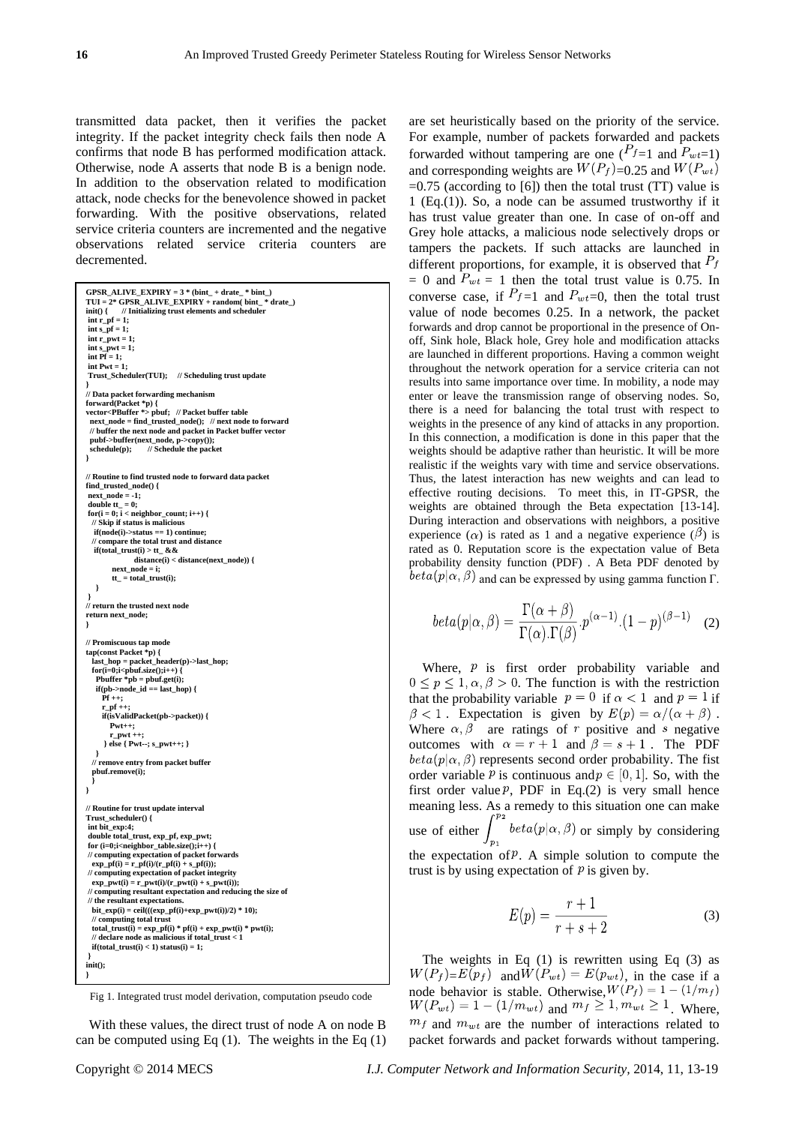transmitted data packet, then it verifies the packet integrity. If the packet integrity check fails then node A confirms that node B has performed modification attack. Otherwise, node A asserts that node B is a benign node. In addition to the observation related to modification attack, node checks for the benevolence showed in packet forwarding. With the positive observations, related service criteria counters are incremented and the negative observations related service criteria counters are decremented.

```
GPSR_ALIVE_EXPIRY = 3 * (bint_ + drate_ * bint_)
TUI = 2* GPSR_ALIVE_EXPIRY + random( bint_ * drate_)
 \text{init() } \{ \text{ // Initialize trust elements and scheduler} \text{ int } \text{r\_pf} = 1; \}int s_p f = 1;int r_pwt = 1;
int s_pwt = 1;
int Pf = 1;
 int Pwt = 1; 
 Trust_Scheduler(TUI); // Scheduling trust update
 }
// Data packet forwarding mechanism
 forward(Packet *p) {
vector<PBuffer *> pbuf; // Packet buffer table
  next_node = find_trusted_node(); // next node to forward
 // buffer the next node and packet in Packet buffer vector
  pubf->buffer(next_node, p->copy()); 
 schedule(p); // Schedule the packet 
 }
// Routine to find trusted node to forward data packet
find_trusted_node() {
 next\_node = -1;\overline{\bf{double}} tt = 0;
 for(i = 0; i < neighbor_count; i++) {
   // Skip if status is malicious
    if(node(i)->status == 1) continue;
   // compare the total trust and distance
   if (total\_trust(i) > tt_ & & & distance(i) < distance(next_node)) {
             next_node = i;
          t = total\_trust(i); } 
 } 
// return the trusted next node 
return next_node;
 }
// Promiscuous tap mode
tap(const Packet *p) {
  last_hop = packet_header(p)->last_hop;
 for(i=0;i<pbuf.size();i++) {
     Pbuffer *pb = pbuf.get(i);
    if(pb \text{-} \text{-} node \text{ id } == \text{last} \text{ hop}) Pf ++;
  r_pf ++;
 if(isValidPacket(pb->packet)) {
          Pwt++;
           r_pwt ++;
        } else { Pwt--; s_pwt++; }
  }
   // remove entry from packet buffer
   pbuf.remove(i);
   }
} 
// Routine for trust update interval
Trust_scheduler() {
 int bit_exp:4;
 double total_trust, exp_pf, exp_pwt;
 for (i=0;i<neighbor_table.size();i++) {
 // computing expectation of packet forwards
 \exp_p f(i) = r_p f(i)/(r_p f(i) + s_p f(i));<br>
|| computing expectation of packet into
       // computing expectation of packet integrity
  \exp\left[pwt(i) = r\right] = \exp\left(-\frac{pwt(i)}{r}\right)// computing resultant expectation and reducing the size of 
// the resultant expectations.
 bit_exp(i) = ceil(((exp_pf(i)+exp_pwt(i))/2) * 10);<br>// computing total trust
 total_trust(i) = exp_pf(i) * pf(i) + exp_pwt(i) * pwt(i);<br>// declare node as malicious if total_trust < 1
  \textbf{if}(\text{total\_trust}(i) < 1) status(i) = 1;
 }
init();
 }
```
Fig 1. Integrated trust model derivation, computation pseudo code

With these values, the direct trust of node A on node B can be computed using Eq  $(1)$ . The weights in the Eq  $(1)$  For example, number of packets forwarded and packets forwarded without tampering are one  $(P_{f=1}$  and  $P_{wt=1}$ ) and corresponding weights are  $W(P_f)$ =0.25 and  $W(P_{wt})$  $=0.75$  (according to [6]) then the total trust (TT) value is 1 (Eq.(1)). So, a node can be assumed trustworthy if it has trust value greater than one. In case of on-off and Grey hole attacks, a malicious node selectively drops or tampers the packets. If such attacks are launched in different proportions, for example, it is observed that  $P_f$ = 0 and  $P_{wt}$  = 1 then the total trust value is 0.75. In converse case, if  $P_{f=1}$  and  $P_{wt=0}$ , then the total trust value of node becomes 0.25. In a network, the packet forwards and drop cannot be proportional in the presence of Onoff, Sink hole, Black hole, Grey hole and modification attacks are launched in different proportions. Having a common weight throughout the network operation for a service criteria can not results into same importance over time. In mobility, a node may enter or leave the transmission range of observing nodes. So, there is a need for balancing the total trust with respect to weights in the presence of any kind of attacks in any proportion. In this connection, a modification is done in this paper that the weights should be adaptive rather than heuristic. It will be more realistic if the weights vary with time and service observations. Thus, the latest interaction has new weights and can lead to effective routing decisions. To meet this, in IT-GPSR, the weights are obtained through the Beta expectation [13-14]. During interaction and observations with neighbors, a positive experience ( $\alpha$ ) is rated as 1 and a negative experience ( $\beta$ ) is rated as 0. Reputation score is the expectation value of Beta probability density function (PDF) . A Beta PDF denoted by  $beta(p|\alpha, \beta)$  and can be expressed by using gamma function Γ.

are set heuristically based on the priority of the service.

$$
beta(p|\alpha, \beta) = \frac{\Gamma(\alpha + \beta)}{\Gamma(\alpha)\Gamma(\beta)} \cdot p^{(\alpha - 1)} \cdot (1 - p)^{(\beta - 1)} \quad (2)
$$

Where,  $\hat{p}$  is first order probability variable and  $0 \le p \le 1, \alpha, \beta > 0$ . The function is with the restriction that the probability variable  $p = 0$  if  $\alpha < 1$  and  $p = 1$  if  $\beta$  < 1. Expectation is given by  $E(p) = \alpha/(\alpha + \beta)$ . Where  $\alpha, \beta$  are ratings of r positive and s negative outcomes with  $\alpha = r + 1$  and  $\beta = s + 1$ . The PDF  $beta(p|\alpha, \beta)$  represents second order probability. The fist order variable P is continuous and  $p \in [0, 1]$ . So, with the first order value  $P$ , PDF in Eq.(2) is very small hence meaning less. As a remedy to this situation one can make use of either  $\int_{p_1}$  beta $(p|\alpha, \beta)$  or simply by considering the expectation of  $P$ . A simple solution to compute the trust is by using expectation of  *is given by.* 

$$
E(p) = \frac{r+1}{r+s+2} \tag{3}
$$

The weights in Eq  $(1)$  is rewritten using Eq  $(3)$  as  $W(P_f) = E(p_f)$  and  $\overline{W}(P_{wt}) = E(p_{wt})$ , in the case if a node behavior is stable. Otherwise,  $W(P_f) = 1 - (1/m_f)$  $W(P_{wt}) = 1 - (1/m_{wt})$  and  $m_f \ge 1, m_{wt} \ge 1$ . Where,  $m_f$  and  $m_{wt}$  are the number of interactions related to packet forwards and packet forwards without tampering.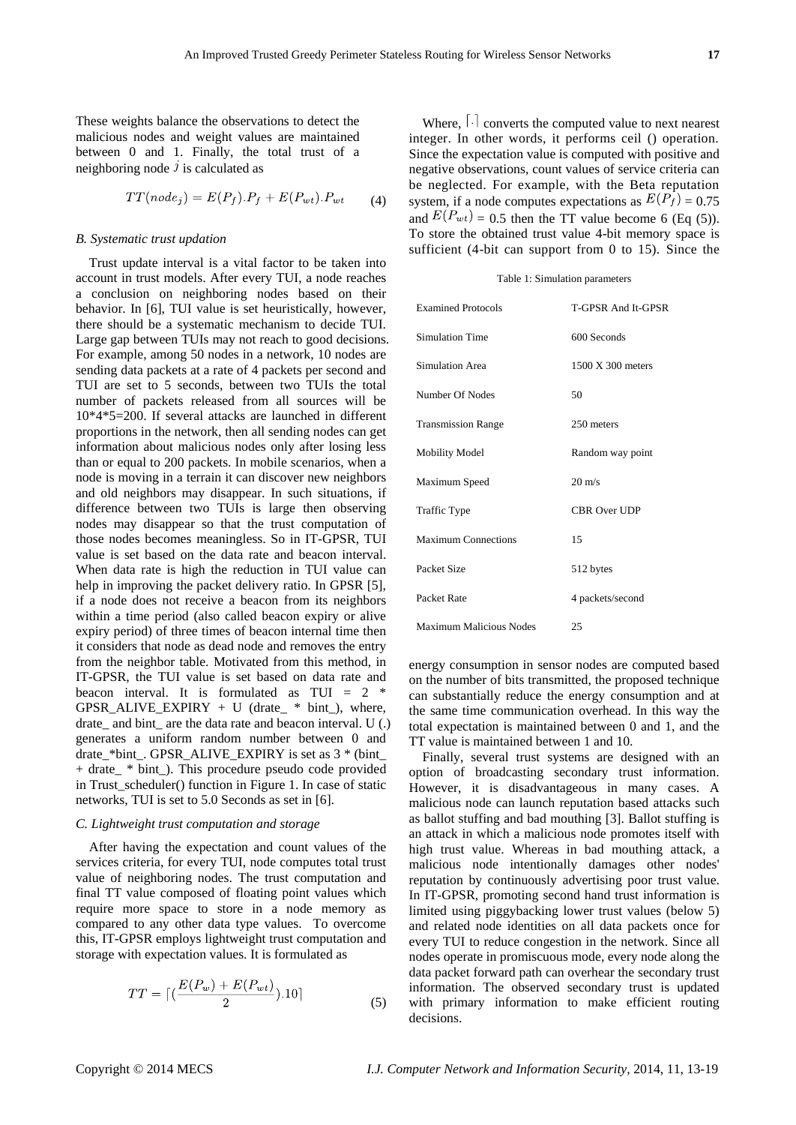These weights balance the observations to detect the malicious nodes and weight values are maintained between 0 and 1. Finally, the total trust of a neighboring node  $\hat{j}$  is calculated as

$$
TT(node_j) = E(P_f).P_f + E(P_{wt}).P_{wt}
$$
 (4)

#### *B. Systematic trust updation*

Trust update interval is a vital factor to be taken into account in trust models. After every TUI, a node reaches a conclusion on neighboring nodes based on their behavior. In [6], TUI value is set heuristically, however, there should be a systematic mechanism to decide TUI. Large gap between TUIs may not reach to good decisions. For example, among 50 nodes in a network, 10 nodes are sending data packets at a rate of 4 packets per second and TUI are set to 5 seconds, between two TUIs the total number of packets released from all sources will be 10\*4\*5=200. If several attacks are launched in different proportions in the network, then all sending nodes can get information about malicious nodes only after losing less than or equal to 200 packets. In mobile scenarios, when a node is moving in a terrain it can discover new neighbors and old neighbors may disappear. In such situations, if difference between two TUIs is large then observing nodes may disappear so that the trust computation of those nodes becomes meaningless. So in IT-GPSR, TUI value is set based on the data rate and beacon interval. When data rate is high the reduction in TUI value can help in improving the packet delivery ratio. In GPSR [5], if a node does not receive a beacon from its neighbors within a time period (also called beacon expiry or alive expiry period) of three times of beacon internal time then it considers that node as dead node and removes the entry from the neighbor table. Motivated from this method, in IT-GPSR, the TUI value is set based on data rate and beacon interval. It is formulated as TUI =  $2$  \*  $GPSR\_ALIVE\_EXPIRY + U (drate_* * bint_*), where,$ drate\_ and bint\_ are the data rate and beacon interval. U (.) generates a uniform random number between 0 and drate \*bint . GPSR\_ALIVE\_EXPIRY is set as  $3 * (bint$ + drate\_ \* bint\_). This procedure pseudo code provided in Trust scheduler() function in Figure 1. In case of static networks, TUI is set to 5.0 Seconds as set in [6].

## *C. Lightweight trust computation and storage*

After having the expectation and count values of the services criteria, for every TUI, node computes total trust value of neighboring nodes. The trust computation and final TT value composed of floating point values which require more space to store in a node memory as compared to any other data type values. To overcome this, IT-GPSR employs lightweight trust computation and storage with expectation values. It is formulated as

$$
TT = \left[ \left( \frac{E(P_w) + E(P_{wt})}{2} \right) .10 \right] \tag{5}
$$

Where,  $\lceil \cdot \rceil$  converts the computed value to next nearest integer. In other words, it performs ceil () operation. Since the expectation value is computed with positive and negative observations, count values of service criteria can be neglected. For example, with the Beta reputation system, if a node computes expectations as  $E(P_f) = 0.75$ and  $E(P_{wt}) = 0.5$  then the TT value become 6 (Eq (5)). To store the obtained trust value 4-bit memory space is sufficient (4-bit can support from 0 to 15). Since the

#### Table 1: Simulation parameters

| <b>Examined Protocols</b>      | T-GPSR And It-GPSR           |
|--------------------------------|------------------------------|
| Simulation Time                | 600 Seconds                  |
| Simulation Area                | $1500 \text{ X } 300$ meters |
| Number Of Nodes                | 50                           |
| <b>Transmission Range</b>      | 250 meters                   |
| <b>Mobility Model</b>          | Random way point             |
| Maximum Speed                  | $20 \text{ m/s}$             |
| <b>Traffic Type</b>            | <b>CBR</b> Over UDP          |
| <b>Maximum Connections</b>     | 15                           |
| Packet Size                    | 512 bytes                    |
| Packet Rate                    | 4 packets/second             |
| <b>Maximum Malicious Nodes</b> | 25                           |

energy consumption in sensor nodes are computed based on the number of bits transmitted, the proposed technique can substantially reduce the energy consumption and at the same time communication overhead. In this way the total expectation is maintained between 0 and 1, and the TT value is maintained between 1 and 10.

Finally, several trust systems are designed with an option of broadcasting secondary trust information. However, it is disadvantageous in many cases. A malicious node can launch reputation based attacks such as ballot stuffing and bad mouthing [3]. Ballot stuffing is an attack in which a malicious node promotes itself with high trust value. Whereas in bad mouthing attack, a malicious node intentionally damages other nodes' reputation by continuously advertising poor trust value. In IT-GPSR, promoting second hand trust information is limited using piggybacking lower trust values (below 5) and related node identities on all data packets once for every TUI to reduce congestion in the network. Since all nodes operate in promiscuous mode, every node along the data packet forward path can overhear the secondary trust information. The observed secondary trust is updated with primary information to make efficient routing decisions.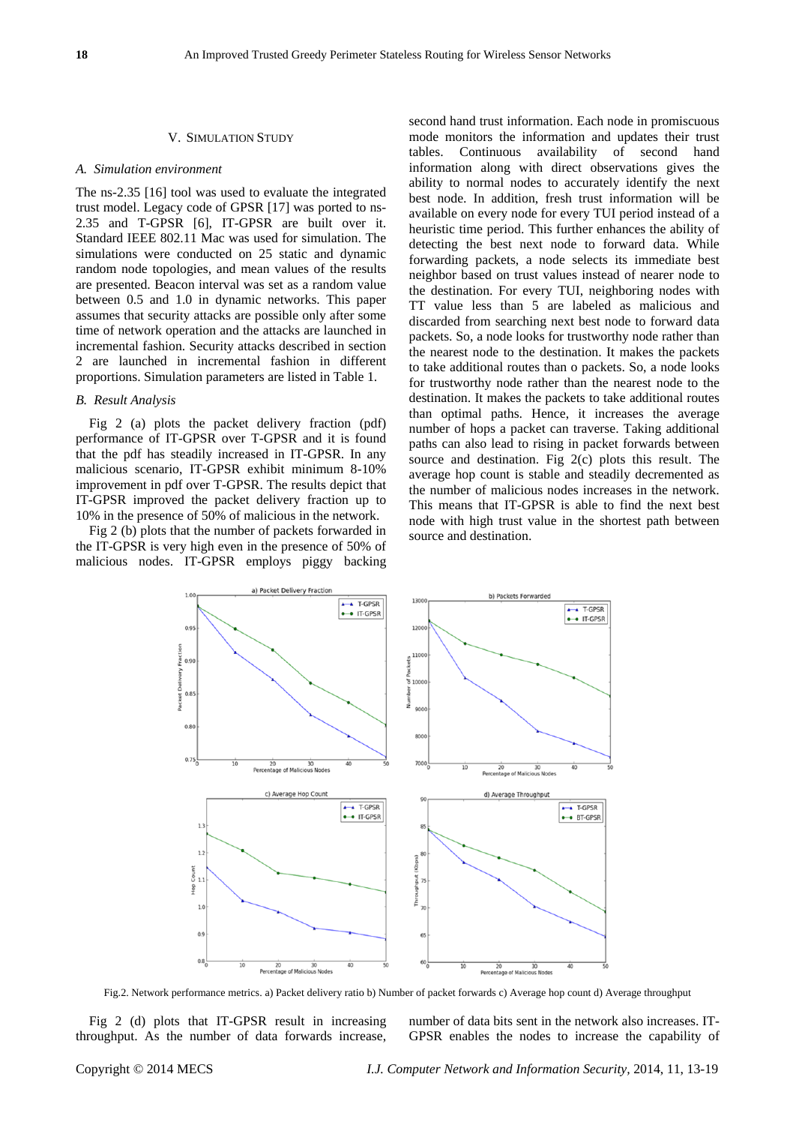#### V. SIMULATION STUDY

#### *A. Simulation environment*

The ns-2.35 [16] tool was used to evaluate the integrated trust model. Legacy code of GPSR [17] was ported to ns-2.35 and T-GPSR [6], IT-GPSR are built over it. Standard IEEE 802.11 Mac was used for simulation. The simulations were conducted on 25 static and dynamic random node topologies, and mean values of the results are presented. Beacon interval was set as a random value between 0.5 and 1.0 in dynamic networks. This paper assumes that security attacks are possible only after some time of network operation and the attacks are launched in incremental fashion. Security attacks described in section 2 are launched in incremental fashion in different proportions. Simulation parameters are listed in Table 1.

## *B. Result Analysis*

Fig 2 (a) plots the packet delivery fraction (pdf) performance of IT-GPSR over T-GPSR and it is found that the pdf has steadily increased in IT-GPSR. In any malicious scenario, IT-GPSR exhibit minimum 8-10% improvement in pdf over T-GPSR. The results depict that IT-GPSR improved the packet delivery fraction up to 10% in the presence of 50% of malicious in the network.

Fig 2 (b) plots that the number of packets forwarded in the IT-GPSR is very high even in the presence of 50% of malicious nodes. IT-GPSR employs piggy backing second hand trust information. Each node in promiscuous mode monitors the information and updates their trust tables. Continuous availability of second hand information along with direct observations gives the ability to normal nodes to accurately identify the next best node. In addition, fresh trust information will be available on every node for every TUI period instead of a heuristic time period. This further enhances the ability of detecting the best next node to forward data. While forwarding packets, a node selects its immediate best neighbor based on trust values instead of nearer node to the destination. For every TUI, neighboring nodes with TT value less than 5 are labeled as malicious and discarded from searching next best node to forward data packets. So, a node looks for trustworthy node rather than the nearest node to the destination. It makes the packets to take additional routes than o packets. So, a node looks for trustworthy node rather than the nearest node to the destination. It makes the packets to take additional routes than optimal paths. Hence, it increases the average number of hops a packet can traverse. Taking additional paths can also lead to rising in packet forwards between source and destination. Fig 2(c) plots this result. The average hop count is stable and steadily decremented as the number of malicious nodes increases in the network. This means that IT-GPSR is able to find the next best node with high trust value in the shortest path between source and destination.



Fig.2. Network performance metrics. a) Packet delivery ratio b) Number of packet forwards c) Average hop count d) Average throughput

Fig 2 (d) plots that IT-GPSR result in increasing throughput. As the number of data forwards increase, number of data bits sent in the network also increases. IT-GPSR enables the nodes to increase the capability of